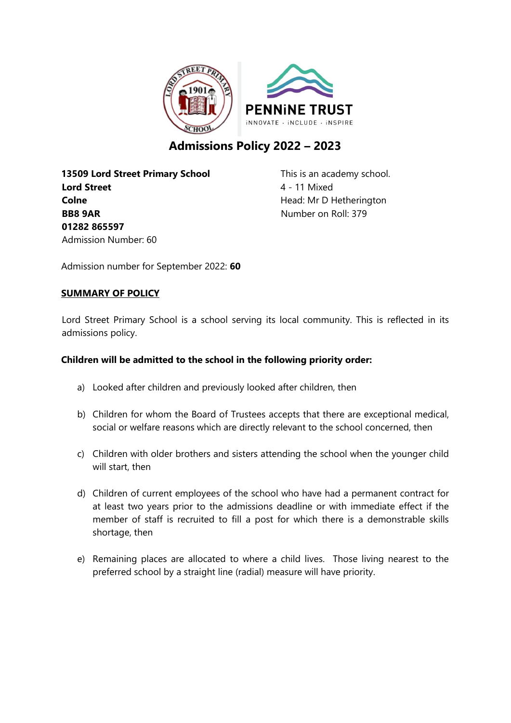

# **Admissions Policy 2022 – 2023**

**13509 Lord Street Primary School** This is an academy school. **Lord Street** 4 - 11 Mixed **Colne Colne Head:** Mr D Hetherington **BB8 9AR** Number on Roll: 379 **01282 865597** Admission Number: 60

Admission number for September 2022: **60**

# **SUMMARY OF POLICY**

Lord Street Primary School is a school serving its local community. This is reflected in its admissions policy.

# **Children will be admitted to the school in the following priority order:**

- a) Looked after children and previously looked after children, then
- b) Children for whom the Board of Trustees accepts that there are exceptional medical, social or welfare reasons which are directly relevant to the school concerned, then
- c) Children with older brothers and sisters attending the school when the younger child will start, then
- d) Children of current employees of the school who have had a permanent contract for at least two years prior to the admissions deadline or with immediate effect if the member of staff is recruited to fill a post for which there is a demonstrable skills shortage, then
- e) Remaining places are allocated to where a child lives. Those living nearest to the preferred school by a straight line (radial) measure will have priority.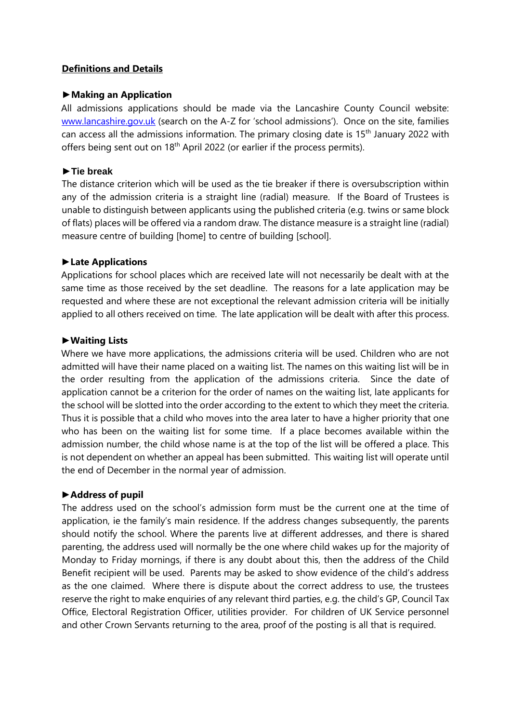# **Definitions and Details**

#### **►Making an Application**

All admissions applications should be made via the Lancashire County Council website: [www.lancashire.gov.uk](http://www.lancashire.gov.uk/) (search on the A-Z for 'school admissions'). Once on the site, families can access all the admissions information. The primary closing date is 15<sup>th</sup> January 2022 with offers being sent out on  $18<sup>th</sup>$  April 2022 (or earlier if the process permits).

# **►Tie break**

The distance criterion which will be used as the tie breaker if there is oversubscription within any of the admission criteria is a straight line (radial) measure. If the Board of Trustees is unable to distinguish between applicants using the published criteria (e.g. twins or same block of flats) places will be offered via a random draw. The distance measure is a straight line (radial) measure centre of building [home] to centre of building [school].

# **►Late Applications**

Applications for school places which are received late will not necessarily be dealt with at the same time as those received by the set deadline. The reasons for a late application may be requested and where these are not exceptional the relevant admission criteria will be initially applied to all others received on time. The late application will be dealt with after this process.

# **►Waiting Lists**

Where we have more applications, the admissions criteria will be used. Children who are not admitted will have their name placed on a waiting list. The names on this waiting list will be in the order resulting from the application of the admissions criteria. Since the date of application cannot be a criterion for the order of names on the waiting list, late applicants for the school will be slotted into the order according to the extent to which they meet the criteria. Thus it is possible that a child who moves into the area later to have a higher priority that one who has been on the waiting list for some time. If a place becomes available within the admission number, the child whose name is at the top of the list will be offered a place. This is not dependent on whether an appeal has been submitted. This waiting list will operate until the end of December in the normal year of admission.

#### **►Address of pupil**

The address used on the school's admission form must be the current one at the time of application, ie the family's main residence. If the address changes subsequently, the parents should notify the school. Where the parents live at different addresses, and there is shared parenting, the address used will normally be the one where child wakes up for the majority of Monday to Friday mornings, if there is any doubt about this, then the address of the Child Benefit recipient will be used. Parents may be asked to show evidence of the child's address as the one claimed. Where there is dispute about the correct address to use, the trustees reserve the right to make enquiries of any relevant third parties, e.g. the child's GP, Council Tax Office, Electoral Registration Officer, utilities provider. For children of UK Service personnel and other Crown Servants returning to the area, proof of the posting is all that is required.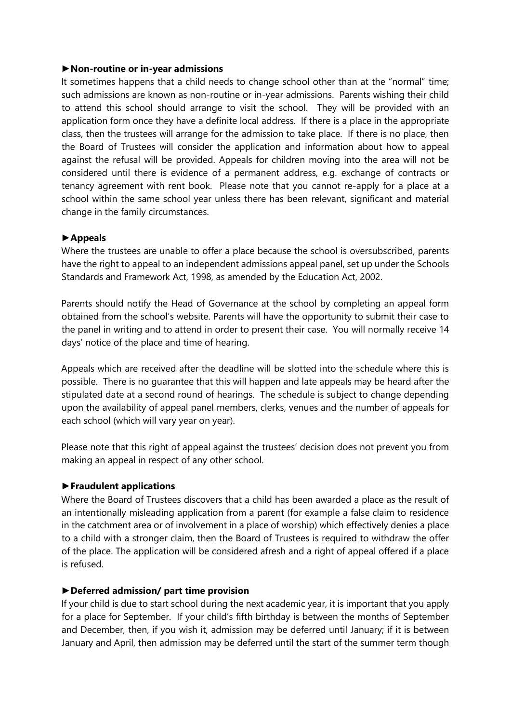#### **►Non-routine or in-year admissions**

It sometimes happens that a child needs to change school other than at the "normal" time; such admissions are known as non-routine or in-year admissions. Parents wishing their child to attend this school should arrange to visit the school. They will be provided with an application form once they have a definite local address. If there is a place in the appropriate class, then the trustees will arrange for the admission to take place. If there is no place, then the Board of Trustees will consider the application and information about how to appeal against the refusal will be provided. Appeals for children moving into the area will not be considered until there is evidence of a permanent address, e.g. exchange of contracts or tenancy agreement with rent book. Please note that you cannot re-apply for a place at a school within the same school year unless there has been relevant, significant and material change in the family circumstances.

#### **►Appeals**

Where the trustees are unable to offer a place because the school is oversubscribed, parents have the right to appeal to an independent admissions appeal panel, set up under the Schools Standards and Framework Act, 1998, as amended by the Education Act, 2002.

Parents should notify the Head of Governance at the school by completing an appeal form obtained from the school's website. Parents will have the opportunity to submit their case to the panel in writing and to attend in order to present their case. You will normally receive 14 days' notice of the place and time of hearing.

Appeals which are received after the deadline will be slotted into the schedule where this is possible. There is no guarantee that this will happen and late appeals may be heard after the stipulated date at a second round of hearings. The schedule is subject to change depending upon the availability of appeal panel members, clerks, venues and the number of appeals for each school (which will vary year on year).

Please note that this right of appeal against the trustees' decision does not prevent you from making an appeal in respect of any other school.

#### **►Fraudulent applications**

Where the Board of Trustees discovers that a child has been awarded a place as the result of an intentionally misleading application from a parent (for example a false claim to residence in the catchment area or of involvement in a place of worship) which effectively denies a place to a child with a stronger claim, then the Board of Trustees is required to withdraw the offer of the place. The application will be considered afresh and a right of appeal offered if a place is refused.

#### **►Deferred admission/ part time provision**

If your child is due to start school during the next academic year, it is important that you apply for a place for September. If your child's fifth birthday is between the months of September and December, then, if you wish it, admission may be deferred until January; if it is between January and April, then admission may be deferred until the start of the summer term though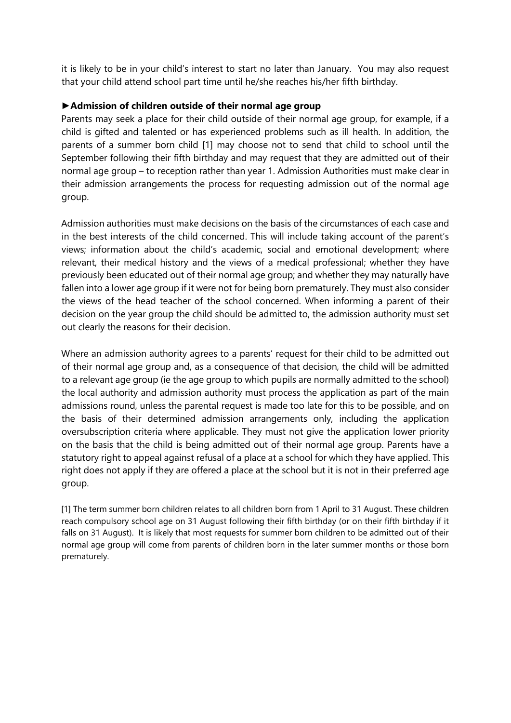it is likely to be in your child's interest to start no later than January. You may also request that your child attend school part time until he/she reaches his/her fifth birthday.

# **►Admission of children outside of their normal age group**

Parents may seek a place for their child outside of their normal age group, for example, if a child is gifted and talented or has experienced problems such as ill health. In addition, the parents of a summer born child [1] may choose not to send that child to school until the September following their fifth birthday and may request that they are admitted out of their normal age group – to reception rather than year 1. Admission Authorities must make clear in their admission arrangements the process for requesting admission out of the normal age group.

Admission authorities must make decisions on the basis of the circumstances of each case and in the best interests of the child concerned. This will include taking account of the parent's views; information about the child's academic, social and emotional development; where relevant, their medical history and the views of a medical professional; whether they have previously been educated out of their normal age group; and whether they may naturally have fallen into a lower age group if it were not for being born prematurely. They must also consider the views of the head teacher of the school concerned. When informing a parent of their decision on the year group the child should be admitted to, the admission authority must set out clearly the reasons for their decision.

Where an admission authority agrees to a parents' request for their child to be admitted out of their normal age group and, as a consequence of that decision, the child will be admitted to a relevant age group (ie the age group to which pupils are normally admitted to the school) the local authority and admission authority must process the application as part of the main admissions round, unless the parental request is made too late for this to be possible, and on the basis of their determined admission arrangements only, including the application oversubscription criteria where applicable. They must not give the application lower priority on the basis that the child is being admitted out of their normal age group. Parents have a statutory right to appeal against refusal of a place at a school for which they have applied. This right does not apply if they are offered a place at the school but it is not in their preferred age group.

[1] The term summer born children relates to all children born from 1 April to 31 August. These children reach compulsory school age on 31 August following their fifth birthday (or on their fifth birthday if it falls on 31 August). It is likely that most requests for summer born children to be admitted out of their normal age group will come from parents of children born in the later summer months or those born prematurely.